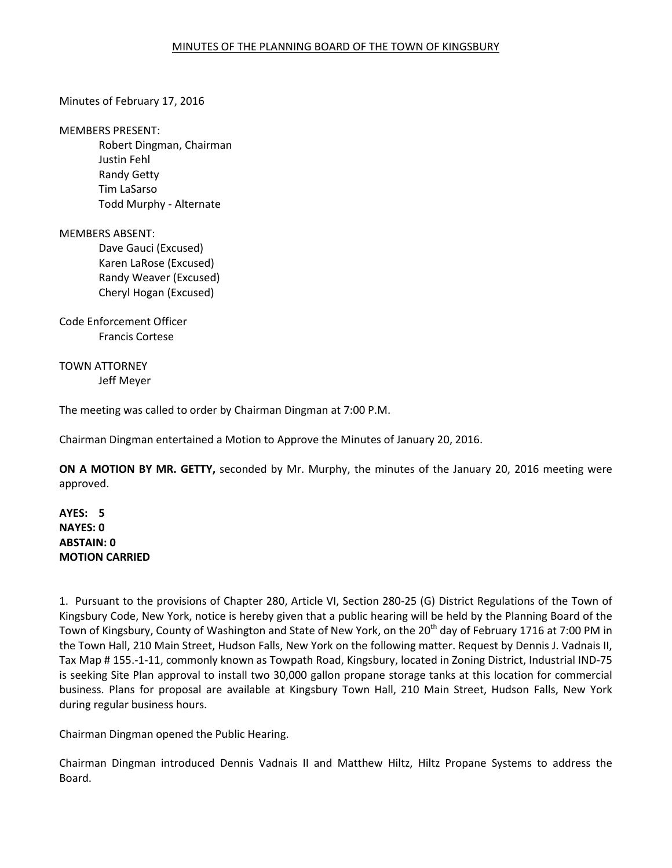# Minutes of February 17, 2016

#### MEMBERS PRESENT:

 Robert Dingman, Chairman Justin Fehl Randy Getty Tim LaSarso Todd Murphy - Alternate

# MEMBERS ABSENT:

 Dave Gauci (Excused) Karen LaRose (Excused) Randy Weaver (Excused) Cheryl Hogan (Excused)

Code Enforcement Officer Francis Cortese

TOWN ATTORNEY Jeff Meyer

The meeting was called to order by Chairman Dingman at 7:00 P.M.

Chairman Dingman entertained a Motion to Approve the Minutes of January 20, 2016.

**ON A MOTION BY MR. GETTY,** seconded by Mr. Murphy, the minutes of the January 20, 2016 meeting were approved.

# **AYES: 5 NAYES: 0 ABSTAIN: 0 MOTION CARRIED**

1. Pursuant to the provisions of Chapter 280, Article VI, Section 280-25 (G) District Regulations of the Town of Kingsbury Code, New York, notice is hereby given that a public hearing will be held by the Planning Board of the Town of Kingsbury, County of Washington and State of New York, on the 20<sup>th</sup> day of February 1716 at 7:00 PM in the Town Hall, 210 Main Street, Hudson Falls, New York on the following matter. Request by Dennis J. Vadnais II, Tax Map # 155.-1-11, commonly known as Towpath Road, Kingsbury, located in Zoning District, Industrial IND-75 is seeking Site Plan approval to install two 30,000 gallon propane storage tanks at this location for commercial business. Plans for proposal are available at Kingsbury Town Hall, 210 Main Street, Hudson Falls, New York during regular business hours.

Chairman Dingman opened the Public Hearing.

Chairman Dingman introduced Dennis Vadnais II and Matthew Hiltz, Hiltz Propane Systems to address the Board.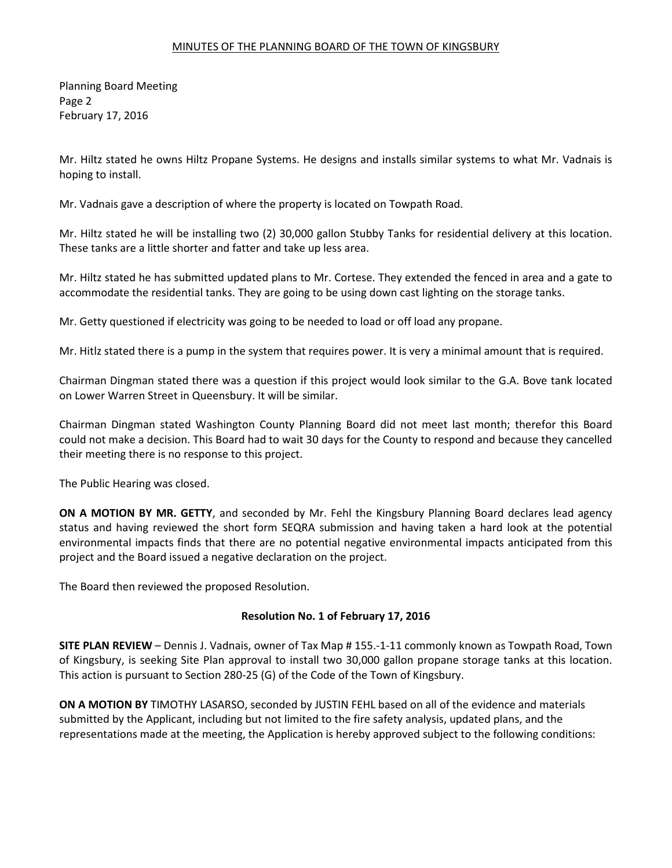Planning Board Meeting Page 2 February 17, 2016

Mr. Hiltz stated he owns Hiltz Propane Systems. He designs and installs similar systems to what Mr. Vadnais is hoping to install.

Mr. Vadnais gave a description of where the property is located on Towpath Road.

Mr. Hiltz stated he will be installing two (2) 30,000 gallon Stubby Tanks for residential delivery at this location. These tanks are a little shorter and fatter and take up less area.

Mr. Hiltz stated he has submitted updated plans to Mr. Cortese. They extended the fenced in area and a gate to accommodate the residential tanks. They are going to be using down cast lighting on the storage tanks.

Mr. Getty questioned if electricity was going to be needed to load or off load any propane.

Mr. Hitlz stated there is a pump in the system that requires power. It is very a minimal amount that is required.

Chairman Dingman stated there was a question if this project would look similar to the G.A. Bove tank located on Lower Warren Street in Queensbury. It will be similar.

Chairman Dingman stated Washington County Planning Board did not meet last month; therefor this Board could not make a decision. This Board had to wait 30 days for the County to respond and because they cancelled their meeting there is no response to this project.

The Public Hearing was closed.

**ON A MOTION BY MR. GETTY**, and seconded by Mr. Fehl the Kingsbury Planning Board declares lead agency status and having reviewed the short form SEQRA submission and having taken a hard look at the potential environmental impacts finds that there are no potential negative environmental impacts anticipated from this project and the Board issued a negative declaration on the project.

The Board then reviewed the proposed Resolution.

# **Resolution No. 1 of February 17, 2016**

**SITE PLAN REVIEW** – Dennis J. Vadnais, owner of Tax Map # 155.-1-11 commonly known as Towpath Road, Town of Kingsbury, is seeking Site Plan approval to install two 30,000 gallon propane storage tanks at this location. This action is pursuant to Section 280-25 (G) of the Code of the Town of Kingsbury.

**ON A MOTION BY** TIMOTHY LASARSO, seconded by JUSTIN FEHL based on all of the evidence and materials submitted by the Applicant, including but not limited to the fire safety analysis, updated plans, and the representations made at the meeting, the Application is hereby approved subject to the following conditions: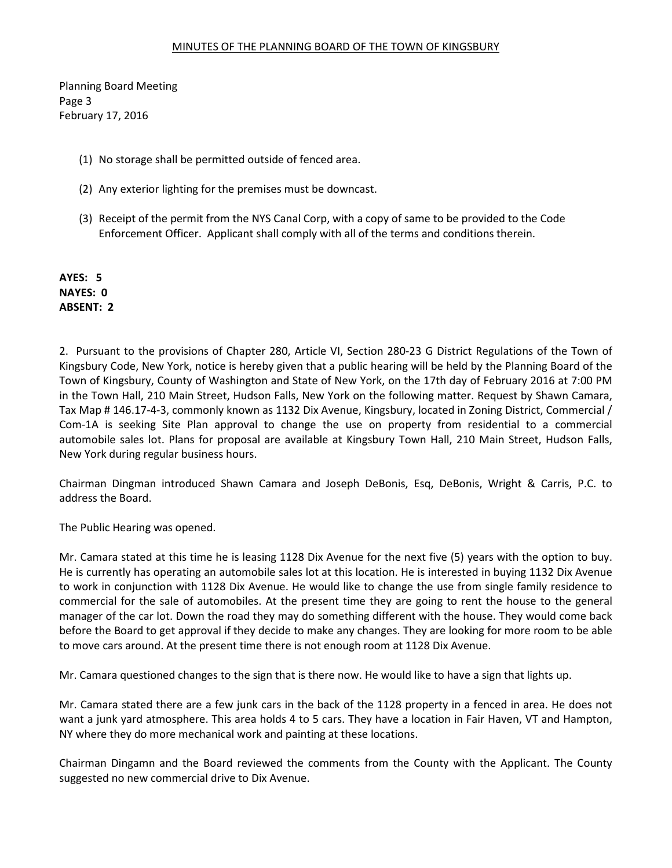Planning Board Meeting Page 3 February 17, 2016

- (1) No storage shall be permitted outside of fenced area.
- (2) Any exterior lighting for the premises must be downcast.
- (3) Receipt of the permit from the NYS Canal Corp, with a copy of same to be provided to the Code Enforcement Officer. Applicant shall comply with all of the terms and conditions therein.

**AYES: 5 NAYES: 0 ABSENT: 2** 

2. Pursuant to the provisions of Chapter 280, Article VI, Section 280-23 G District Regulations of the Town of Kingsbury Code, New York, notice is hereby given that a public hearing will be held by the Planning Board of the Town of Kingsbury, County of Washington and State of New York, on the 17th day of February 2016 at 7:00 PM in the Town Hall, 210 Main Street, Hudson Falls, New York on the following matter. Request by Shawn Camara, Tax Map # 146.17-4-3, commonly known as 1132 Dix Avenue, Kingsbury, located in Zoning District, Commercial / Com-1A is seeking Site Plan approval to change the use on property from residential to a commercial automobile sales lot. Plans for proposal are available at Kingsbury Town Hall, 210 Main Street, Hudson Falls, New York during regular business hours.

Chairman Dingman introduced Shawn Camara and Joseph DeBonis, Esq, DeBonis, Wright & Carris, P.C. to address the Board.

The Public Hearing was opened.

Mr. Camara stated at this time he is leasing 1128 Dix Avenue for the next five (5) years with the option to buy. He is currently has operating an automobile sales lot at this location. He is interested in buying 1132 Dix Avenue to work in conjunction with 1128 Dix Avenue. He would like to change the use from single family residence to commercial for the sale of automobiles. At the present time they are going to rent the house to the general manager of the car lot. Down the road they may do something different with the house. They would come back before the Board to get approval if they decide to make any changes. They are looking for more room to be able to move cars around. At the present time there is not enough room at 1128 Dix Avenue.

Mr. Camara questioned changes to the sign that is there now. He would like to have a sign that lights up.

Mr. Camara stated there are a few junk cars in the back of the 1128 property in a fenced in area. He does not want a junk yard atmosphere. This area holds 4 to 5 cars. They have a location in Fair Haven, VT and Hampton, NY where they do more mechanical work and painting at these locations.

Chairman Dingamn and the Board reviewed the comments from the County with the Applicant. The County suggested no new commercial drive to Dix Avenue.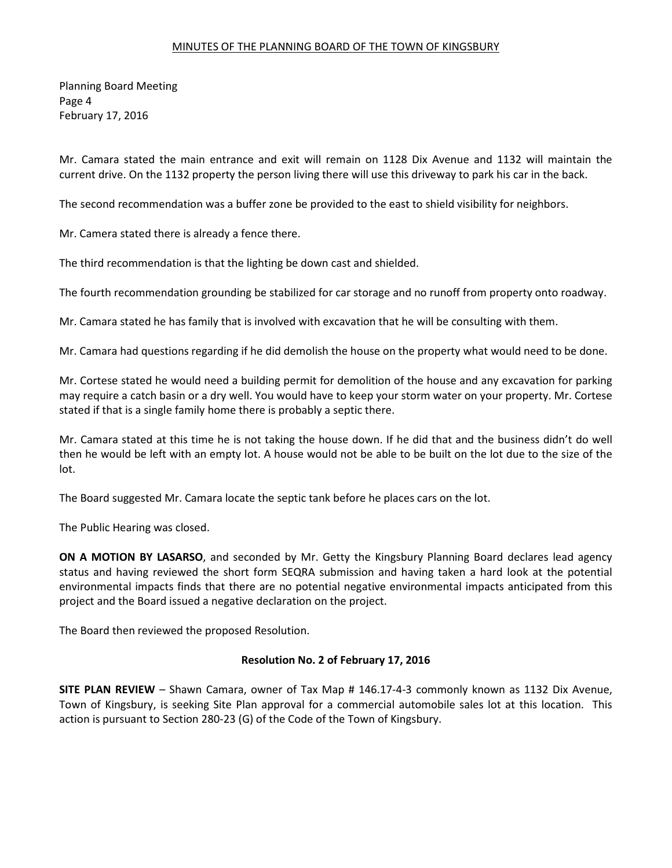Planning Board Meeting Page 4 February 17, 2016

Mr. Camara stated the main entrance and exit will remain on 1128 Dix Avenue and 1132 will maintain the current drive. On the 1132 property the person living there will use this driveway to park his car in the back.

The second recommendation was a buffer zone be provided to the east to shield visibility for neighbors.

Mr. Camera stated there is already a fence there.

The third recommendation is that the lighting be down cast and shielded.

The fourth recommendation grounding be stabilized for car storage and no runoff from property onto roadway.

Mr. Camara stated he has family that is involved with excavation that he will be consulting with them.

Mr. Camara had questions regarding if he did demolish the house on the property what would need to be done.

Mr. Cortese stated he would need a building permit for demolition of the house and any excavation for parking may require a catch basin or a dry well. You would have to keep your storm water on your property. Mr. Cortese stated if that is a single family home there is probably a septic there.

Mr. Camara stated at this time he is not taking the house down. If he did that and the business didn't do well then he would be left with an empty lot. A house would not be able to be built on the lot due to the size of the lot.

The Board suggested Mr. Camara locate the septic tank before he places cars on the lot.

The Public Hearing was closed.

**ON A MOTION BY LASARSO**, and seconded by Mr. Getty the Kingsbury Planning Board declares lead agency status and having reviewed the short form SEQRA submission and having taken a hard look at the potential environmental impacts finds that there are no potential negative environmental impacts anticipated from this project and the Board issued a negative declaration on the project.

The Board then reviewed the proposed Resolution.

#### **Resolution No. 2 of February 17, 2016**

**SITE PLAN REVIEW** – Shawn Camara, owner of Tax Map # 146.17-4-3 commonly known as 1132 Dix Avenue, Town of Kingsbury, is seeking Site Plan approval for a commercial automobile sales lot at this location. This action is pursuant to Section 280-23 (G) of the Code of the Town of Kingsbury.